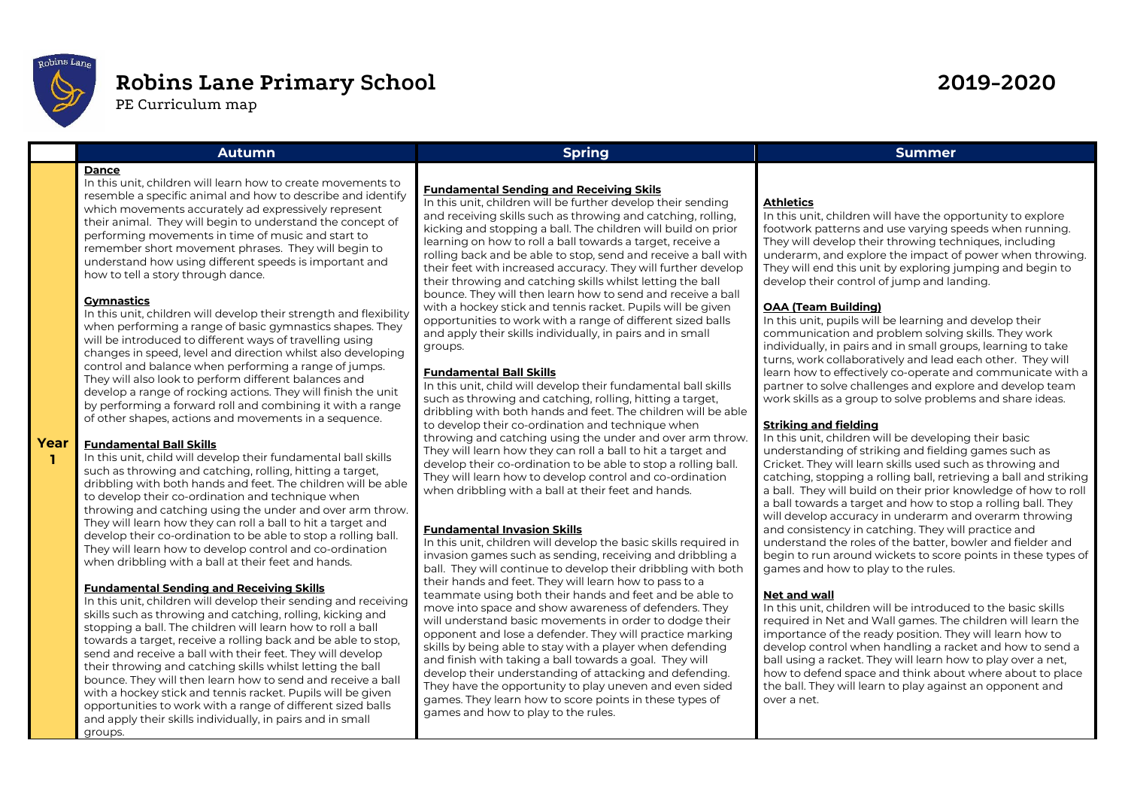

# **Robins Lane Primary School 2019-2020**

PE Curriculum map

# **Dance**

In this unit, children will learn how to create movements to resemble a specific animal and how to describe and identify which movements accurately ad expressively represent their animal. They will begin to understand the concept of performing movements in time of music and start to remember short movement phrases. They will begin to understand how using different speeds is important and how to tell a story through dance.

# **Gymnastics**

In this unit, children will develop their strength and flexibility when performing a range of basic gymnastics shapes. They will be introduced to different ways of travelling using changes in speed, level and direction whilst also developing control and balance when performing a range of jumps. They will also look to perform different balances and develop a range of rocking actions. They will finish the unit by performing a forward roll and combining it with a range of other shapes, actions and movements in a sequence.

#### **Year Fundamental Ball Skills**

**1**

In this unit, child will develop their fundamental ball skills such as throwing and catching, rolling, hitting a target, dribbling with both hands and feet. The children will be able to develop their co-ordination and technique when throwing and catching using the under and over arm throw. They will learn how they can roll a ball to hit a target and develop their co-ordination to be able to stop a rolling ball. They will learn how to develop control and co-ordination when dribbling with a ball at their feet and hands.

# **Fundamental Sending and Receiving Skills**

In this unit, children will develop their sending and receiving skills such as throwing and catching, rolling, kicking and stopping a ball. The children will learn how to roll a ball towards a target, receive a rolling back and be able to stop, send and receive a ball with their feet. They will develop their throwing and catching skills whilst letting the ball bounce. They will then learn how to send and receive a ball with a hockey stick and tennis racket. Pupils will be given opportunities to work with a range of different sized balls and apply their skills individually, in pairs and in small groups.

# **Fundamental Sending and Receiving Skils**

In this unit, children will be further develop their sending and receiving skills such as throwing and catching, rolling, kicking and stopping a ball. The children will build on prior learning on how to roll a ball towards a target, receive a rolling back and be able to stop, send and receive a ball with their feet with increased accuracy. They will further develop their throwing and catching skills whilst letting the ball bounce. They will then learn how to send and receive a ball with a hockey stick and tennis racket. Pupils will be given opportunities to work with a range of different sized balls and apply their skills individually, in pairs and in small groups.

# **Fundamental Ball Skills**

In this unit, child will develop their fundamental ball skills such as throwing and catching, rolling, hitting a target, dribbling with both hands and feet. The children will be able to develop their co-ordination and technique when throwing and catching using the under and over arm throw. They will learn how they can roll a ball to hit a target and develop their co-ordination to be able to stop a rolling ball. They will learn how to develop control and co-ordination when dribbling with a ball at their feet and hands.

# **Fundamental Invasion Skills**

In this unit, children will develop the basic skills required in invasion games such as sending, receiving and dribbling a ball. They will continue to develop their dribbling with both their hands and feet. They will learn how to pass to a teammate using both their hands and feet and be able to move into space and show awareness of defenders. They will understand basic movements in order to dodge their opponent and lose a defender. They will practice marking skills by being able to stay with a player when defending and finish with taking a ball towards a goal. They will develop their understanding of attacking and defending. They have the opportunity to play uneven and even sided games. They learn how to score points in these types of games and how to play to the rules.

# **Autumn Spring Summer**

# **Athletics**

In this unit, children will have the opportunity to explore footwork patterns and use varying speeds when running. They will develop their throwing techniques, including underarm, and explore the impact of power when throwing. They will end this unit by exploring jumping and begin to develop their control of jump and landing.

# **OAA (Team Building)**

In this unit, pupils will be learning and develop their communication and problem solving skills. They work individually, in pairs and in small groups, learning to take turns, work collaboratively and lead each other. They will learn how to effectively co-operate and communicate with a partner to solve challenges and explore and develop team work skills as a group to solve problems and share ideas.

# **Striking and fielding**

In this unit, children will be developing their basic understanding of striking and fielding games such as Cricket. They will learn skills used such as throwing and catching, stopping a rolling ball, retrieving a ball and striking a ball. They will build on their prior knowledge of how to roll a ball towards a target and how to stop a rolling ball. They will develop accuracy in underarm and overarm throwing and consistency in catching. They will practice and understand the roles of the batter, bowler and fielder and begin to run around wickets to score points in these types of games and how to play to the rules.

# **Net and wall**

In this unit, children will be introduced to the basic skills required in Net and Wall games. The children will learn the importance of the ready position. They will learn how to develop control when handling a racket and how to send a ball using a racket. They will learn how to play over a net, how to defend space and think about where about to place the ball. They will learn to play against an opponent and over a net.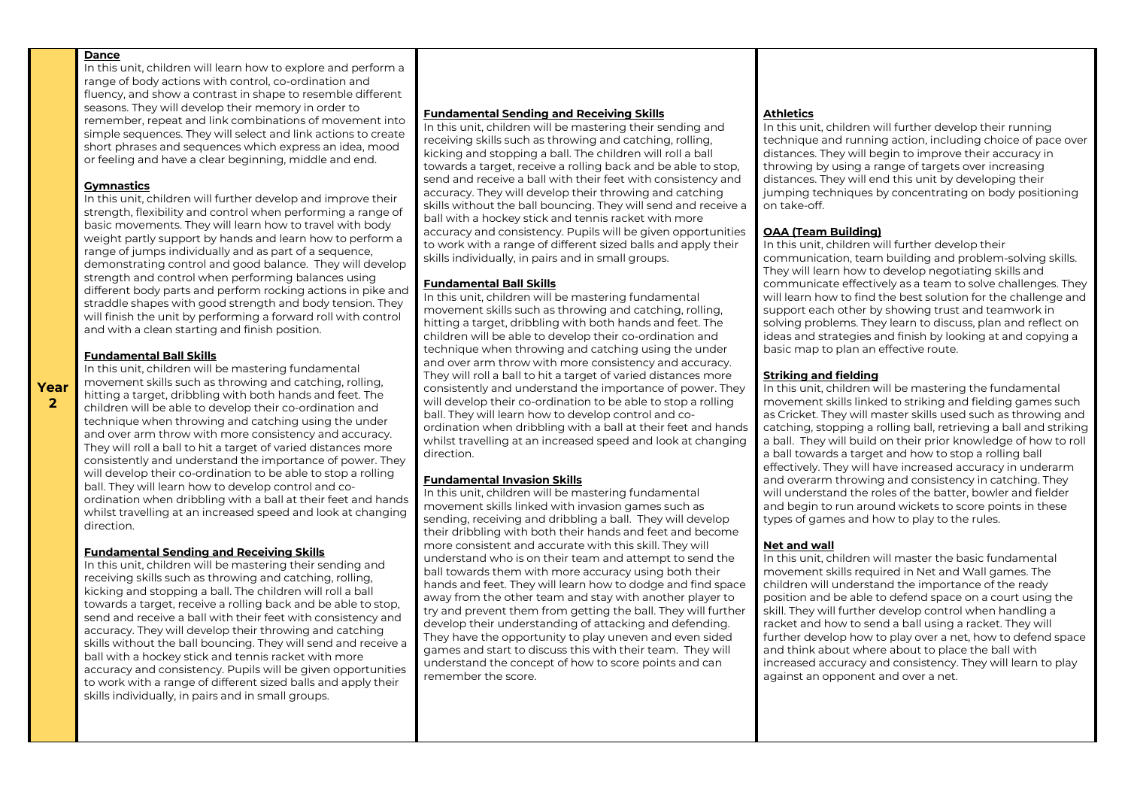In this unit, children will learn how to explore and perform a range of body actions with control, co-ordination and fluency, and show a contrast in shape to resemble different seasons. They will develop their memory in order to remember, repeat and link combinations of movement into simple sequences. They will select and link actions to create short phrases and sequences which express an idea, mood or feeling and have a clear beginning, middle and end.

#### **Gymnastics**

In this unit, children will further develop and improve their strength, flexibility and control when performing a range of basic movements. They will learn how to travel with body weight partly support by hands and learn how to perform a range of jumps individually and as part of a sequence, demonstrating control and good balance. They will develop strength and control when performing balances using different body parts and perform rocking actions in pike and straddle shapes with good strength and body tension. They will finish the unit by performing a forward roll with control and with a clean starting and finish position.

#### **Fundamental Ball Skills**

In this unit, children will be mastering fundamental movement skills such as throwing and catching, rolling, hitting a target, dribbling with both hands and feet. The children will be able to develop their co-ordination and technique when throwing and catching using the under and over arm throw with more consistency and accuracy. They will roll a ball to hit a target of varied distances more consistently and understand the importance of power. They will develop their co-ordination to be able to stop a rolling ball. They will learn how to develop control and coordination when dribbling with a ball at their feet and hands whilst travelling at an increased speed and look at changing direction.

#### **Fundamental Sending and Receiving Skills**

In this unit, children will be mastering their sending and receiving skills such as throwing and catching, rolling, kicking and stopping a ball. The children will roll a ball towards a target, receive a rolling back and be able to stop, send and receive a ball with their feet with consistency and accuracy. They will develop their throwing and catching skills without the ball bouncing. They will send and receive a ball with a hockey stick and tennis racket with more accuracy and consistency. Pupils will be given opportunities to work with a range of different sized balls and apply their skills individually, in pairs and in small groups.

#### **Fundamental Sending and Receiving Skills**

In this unit, children will be mastering their sending and receiving skills such as throwing and catching, rolling, kicking and stopping a ball. The children will roll a ball towards a target, receive a rolling back and be able to stop, send and receive a ball with their feet with consistency and accuracy. They will develop their throwing and catching skills without the ball bouncing. They will send and receive a ball with a hockey stick and tennis racket with more accuracy and consistency. Pupils will be given opportunities to work with a range of different sized balls and apply their skills individually, in pairs and in small groups.

#### **Fundamental Ball Skills**

In this unit, children will be mastering fundamental movement skills such as throwing and catching, rolling, hitting a target, dribbling with both hands and feet. The children will be able to develop their co-ordination and technique when throwing and catching using the under and over arm throw with more consistency and accuracy. They will roll a ball to hit a target of varied distances more consistently and understand the importance of power. They will develop their co-ordination to be able to stop a rolling ball. They will learn how to develop control and coordination when dribbling with a ball at their feet and hands whilst travelling at an increased speed and look at changing direction.

#### **Fundamental Invasion Skills**

In this unit, children will be mastering fundamental movement skills linked with invasion games such as sending, receiving and dribbling a ball. They will develop their dribbling with both their hands and feet and become more consistent and accurate with this skill. They will understand who is on their team and attempt to send the ball towards them with more accuracy using both their hands and feet. They will learn how to dodge and find space away from the other team and stay with another player to try and prevent them from getting the ball. They will further develop their understanding of attacking and defending. They have the opportunity to play uneven and even sided games and start to discuss this with their team. They will understand the concept of how to score points and can remember the score.

#### **Athletics**

In this unit, children will further develop their running technique and running action, including choice of pace over distances. They will begin to improve their accuracy in throwing by using a range of targets over increasing distances. They will end this unit by developing their jumping techniques by concentrating on body positioning on take-off.

#### **OAA (Team Building)**

In this unit, children will further develop their communication, team building and problem-solving skills. They will learn how to develop negotiating skills and communicate effectively as a team to solve challenges. They will learn how to find the best solution for the challenge and support each other by showing trust and teamwork in solving problems. They learn to discuss, plan and reflect on ideas and strategies and finish by looking at and copying a basic map to plan an effective route.

#### **Striking and fielding**

In this unit, children will be mastering the fundamental movement skills linked to striking and fielding games such as Cricket. They will master skills used such as throwing and catching, stopping a rolling ball, retrieving a ball and striking a ball. They will build on their prior knowledge of how to roll a ball towards a target and how to stop a rolling ball effectively. They will have increased accuracy in underarm and overarm throwing and consistency in catching. They will understand the roles of the batter, bowler and fielder and begin to run around wickets to score points in these types of games and how to play to the rules.

#### **Net and wall**

In this unit, children will master the basic fundamental movement skills required in Net and Wall games. The children will understand the importance of the ready position and be able to defend space on a court using the skill. They will further develop control when handling a racket and how to send a ball using a racket. They will further develop how to play over a net, how to defend space and think about where about to place the ball with increased accuracy and consistency. They will learn to play against an opponent and over a net.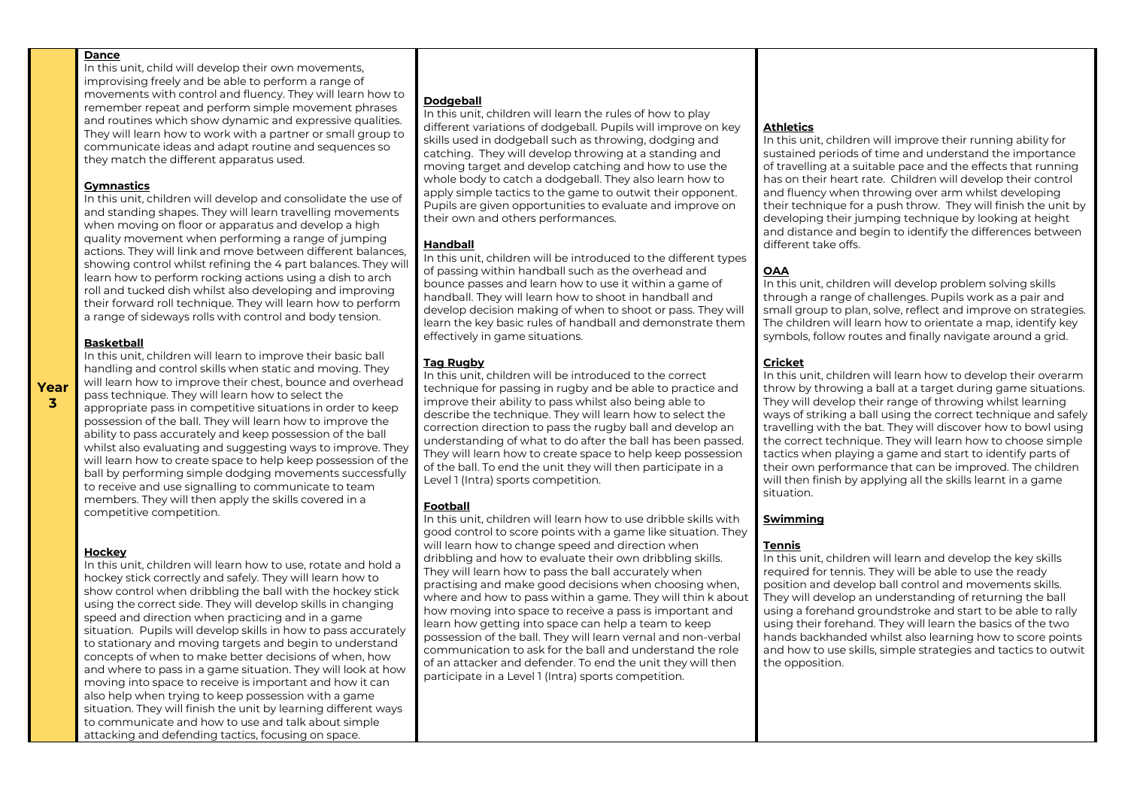In this unit, child will develop their own movements, improvising freely and be able to perform a range of movements with control and fluency. They will learn how to remember repeat and perform simple movement phrases and routines which show dynamic and expressive qualities. They will learn how to work with a partner or small group to communicate ideas and adapt routine and sequences so they match the different apparatus used.

#### **Gymnastics**

In this unit, children will develop and consolidate the use of and standing shapes. They will learn travelling movements when moving on floor or apparatus and develop a high quality movement when performing a range of jumping actions. They will link and move between different balances, showing control whilst refining the 4 part balances. They will learn how to perform rocking actions using a dish to arch roll and tucked dish whilst also developing and improving their forward roll technique. They will learn how to perform a range of sideways rolls with control and body tension.

#### **Basketball**

In this unit, children will learn to improve their basic ball handling and control skills when static and moving. They will learn how to improve their chest, bounce and overhead pass technique. They will learn how to select the appropriate pass in competitive situations in order to keep possession of the ball. They will learn how to improve the ability to pass accurately and keep possession of the ball whilst also evaluating and suggesting ways to improve. They will learn how to create space to help keep possession of the ball by performing simple dodging movements successfully to receive and use signalling to communicate to team members. They will then apply the skills covered in a competitive competition.

#### **Hockey**

In this unit, children will learn how to use, rotate and hold a hockey stick correctly and safely. They will learn how to show control when dribbling the ball with the hockey stick using the correct side. They will develop skills in changing speed and direction when practicing and in a game situation. Pupils will develop skills in how to pass accurately to stationary and moving targets and begin to understand concepts of when to make better decisions of when, how and where to pass in a game situation. They will look at how moving into space to receive is important and how it can also help when trying to keep possession with a game situation. They will finish the unit by learning different ways to communicate and how to use and talk about simple attacking and defending tactics, focusing on space.

#### **Dodgeball**

In this unit, children will learn the rules of how to play different variations of dodgeball. Pupils will improve on key skills used in dodgeball such as throwing, dodging and catching. They will develop throwing at a standing and moving target and develop catching and how to use the whole body to catch a dodgeball. They also learn how to apply simple tactics to the game to outwit their opponent. Pupils are given opportunities to evaluate and improve on their own and others performances.

## **Handball**

In this unit, children will be introduced to the different types of passing within handball such as the overhead and bounce passes and learn how to use it within a game of handball. They will learn how to shoot in handball and develop decision making of when to shoot or pass. They will learn the key basic rules of handball and demonstrate them effectively in game situations.

#### **Tag Rugby**

In this unit, children will be introduced to the correct technique for passing in rugby and be able to practice and improve their ability to pass whilst also being able to describe the technique. They will learn how to select the correction direction to pass the rugby ball and develop an understanding of what to do after the ball has been passed. They will learn how to create space to help keep possession of the ball. To end the unit they will then participate in a Level 1 (Intra) sports competition.

#### **Football**

In this unit, children will learn how to use dribble skills with good control to score points with a game like situation. They will learn how to change speed and direction when dribbling and how to evaluate their own dribbling skills. They will learn how to pass the ball accurately when practising and make good decisions when choosing when, where and how to pass within a game. They will thin k about how moving into space to receive a pass is important and learn how getting into space can help a team to keep possession of the ball. They will learn vernal and non-verbal communication to ask for the ball and understand the role of an attacker and defender. To end the unit they will then participate in a Level 1 (Intra) sports competition.

# **Athletics**

In this unit, children will improve their running ability for sustained periods of time and understand the importance of travelling at a suitable pace and the effects that running has on their heart rate. Children will develop their control and fluency when throwing over arm whilst developing their technique for a push throw. They will finish the unit by developing their jumping technique by looking at height and distance and begin to identify the differences between different take offs.

# **OAA**

In this unit, children will develop problem solving skills through a range of challenges. Pupils work as a pair and small group to plan, solve, reflect and improve on strategies. The children will learn how to orientate a map, identify key symbols, follow routes and finally navigate around a grid.

## **Cricket**

In this unit, children will learn how to develop their overarm throw by throwing a ball at a target during game situations. They will develop their range of throwing whilst learning ways of striking a ball using the correct technique and safely travelling with the bat. They will discover how to bowl using the correct technique. They will learn how to choose simple tactics when playing a game and start to identify parts of their own performance that can be improved. The children will then finish by applying all the skills learnt in a game situation.

#### **Swimming**

#### **Tennis**

In this unit, children will learn and develop the key skills required for tennis. They will be able to use the ready position and develop ball control and movements skills. They will develop an understanding of returning the ball using a forehand groundstroke and start to be able to rally using their forehand. They will learn the basics of the two hands backhanded whilst also learning how to score points and how to use skills, simple strategies and tactics to outwit the opposition.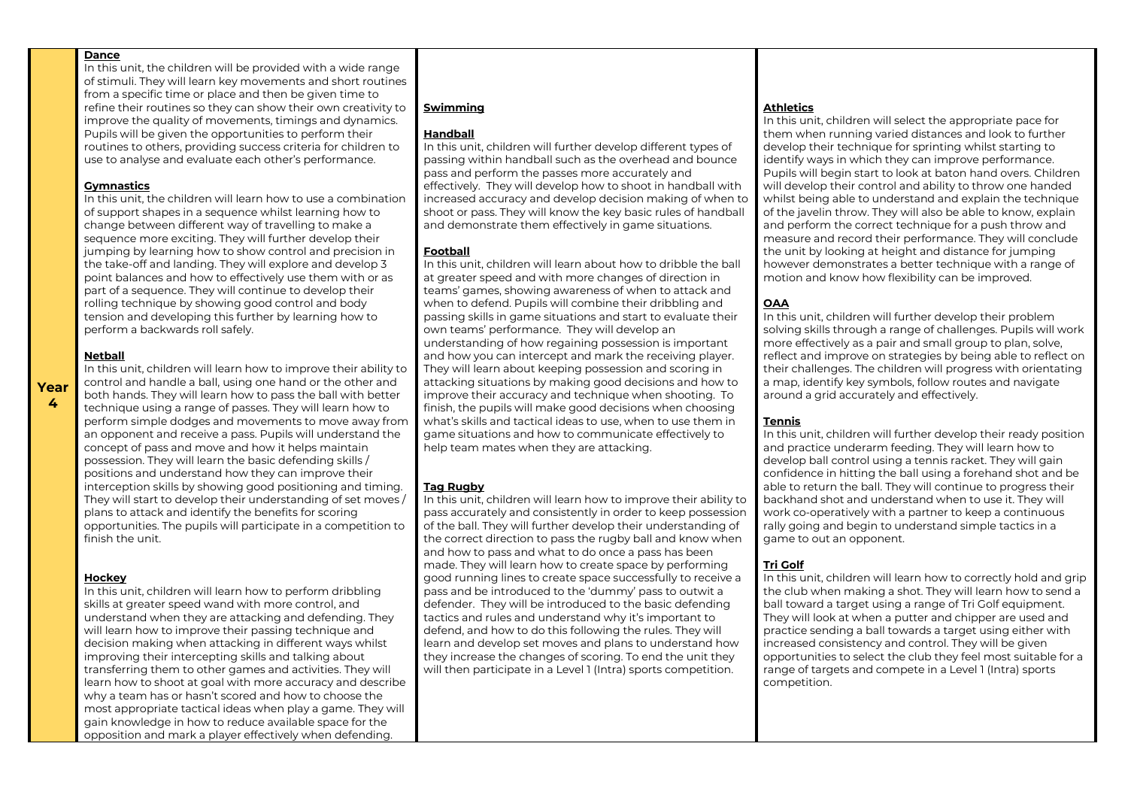In this unit, the children will be provided with a wide range of stimuli. They will learn key movements and short routines from a specific time or place and then be given time to refine their routines so they can show their own creativity to improve the quality of movements, timings and dynamics. Pupils will be given the opportunities to perform their routines to others, providing success criteria for children to use to analyse and evaluate each other's performance.

#### **Gymnastics**

In this unit, the children will learn how to use a combination of support shapes in a sequence whilst learning how to change between different way of travelling to make a sequence more exciting. They will further develop their jumping by learning how to show control and precision in the take-off and landing. They will explore and develop 3 point balances and how to effectively use them with or as part of a sequence. They will continue to develop their rolling technique by showing good control and body tension and developing this further by learning how to perform a backwards roll safely.

#### **Netball**

In this unit, children will learn how to improve their ability to control and handle a ball, using one hand or the other and both hands. They will learn how to pass the ball with better technique using a range of passes. They will learn how to perform simple dodges and movements to move away from an opponent and receive a pass. Pupils will understand the concept of pass and move and how it helps maintain possession. They will learn the basic defending skills / positions and understand how they can improve their interception skills by showing good positioning and timing. They will start to develop their understanding of set moves / plans to attack and identify the benefits for scoring opportunities. The pupils will participate in a competition to finish the unit.

#### **Hockey**

In this unit, children will learn how to perform dribbling skills at greater speed wand with more control, and understand when they are attacking and defending. They will learn how to improve their passing technique and decision making when attacking in different ways whilst improving their intercepting skills and talking about transferring them to other games and activities. They will learn how to shoot at goal with more accuracy and describe why a team has or hasn't scored and how to choose the most appropriate tactical ideas when play a game. They will gain knowledge in how to reduce available space for the opposition and mark a player effectively when defending.

# **Swimming**

#### **Handball**

In this unit, children will further develop different types of passing within handball such as the overhead and bounce pass and perform the passes more accurately and effectively. They will develop how to shoot in handball with increased accuracy and develop decision making of when to shoot or pass. They will know the key basic rules of handball and demonstrate them effectively in game situations.

#### **Football**

In this unit, children will learn about how to dribble the ball at greater speed and with more changes of direction in teams' games, showing awareness of when to attack and when to defend. Pupils will combine their dribbling and passing skills in game situations and start to evaluate their own teams' performance. They will develop an understanding of how regaining possession is important and how you can intercept and mark the receiving player. They will learn about keeping possession and scoring in attacking situations by making good decisions and how to improve their accuracy and technique when shooting. To finish, the pupils will make good decisions when choosing what's skills and tactical ideas to use, when to use them in game situations and how to communicate effectively to help team mates when they are attacking.

#### **Tag Rugby**

In this unit, children will learn how to improve their ability to pass accurately and consistently in order to keep possession of the ball. They will further develop their understanding of the correct direction to pass the rugby ball and know when and how to pass and what to do once a pass has been made. They will learn how to create space by performing good running lines to create space successfully to receive a pass and be introduced to the 'dummy' pass to outwit a defender. They will be introduced to the basic defending tactics and rules and understand why it's important to defend, and how to do this following the rules. They will learn and develop set moves and plans to understand how they increase the changes of scoring. To end the unit they will then participate in a Level 1 (Intra) sports competition.

#### **Athletics**

In this unit, children will select the appropriate pace for them when running varied distances and look to further develop their technique for sprinting whilst starting to identify ways in which they can improve performance. Pupils will begin start to look at baton hand overs. Children will develop their control and ability to throw one handed whilst being able to understand and explain the technique of the javelin throw. They will also be able to know, explain and perform the correct technique for a push throw and measure and record their performance. They will conclude the unit by looking at height and distance for jumping however demonstrates a better technique with a range of motion and know how flexibility can be improved.

## **OAA**

In this unit, children will further develop their problem solving skills through a range of challenges. Pupils will work more effectively as a pair and small group to plan, solve, reflect and improve on strategies by being able to reflect on their challenges. The children will progress with orientating a map, identify key symbols, follow routes and navigate around a grid accurately and effectively.

#### **Tennis**

In this unit, children will further develop their ready position and practice underarm feeding. They will learn how to develop ball control using a tennis racket. They will gain confidence in hitting the ball using a forehand shot and be able to return the ball. They will continue to progress their backhand shot and understand when to use it. They will work co-operatively with a partner to keep a continuous rally going and begin to understand simple tactics in a game to out an opponent.

# **Tri Golf**

In this unit, children will learn how to correctly hold and grip the club when making a shot. They will learn how to send a ball toward a target using a range of Tri Golf equipment. They will look at when a putter and chipper are used and practice sending a ball towards a target using either with increased consistency and control. They will be given opportunities to select the club they feel most suitable for a range of targets and compete in a Level 1 (Intra) sports competition.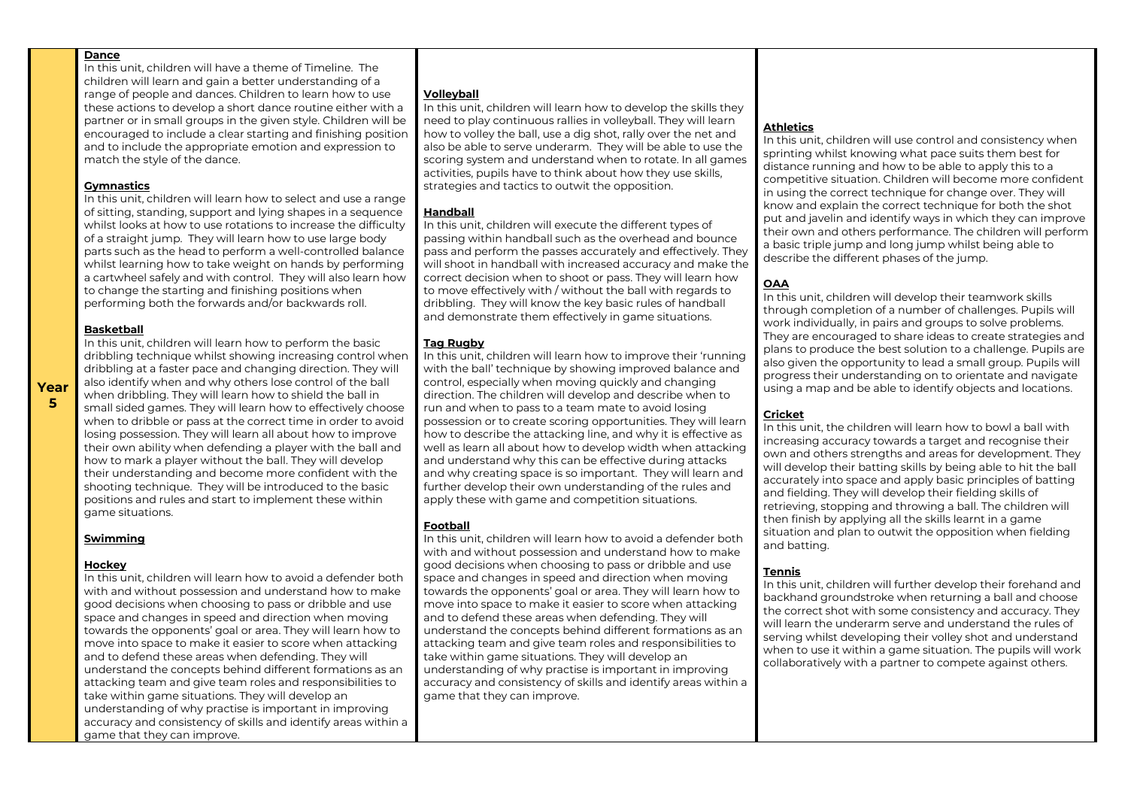In this unit, children will have a theme of Timeline. The children will learn and gain a better understanding of a range of people and dances. Children to learn how to use these actions to develop a short dance routine either with a partner or in small groups in the given style. Children will be encouraged to include a clear starting and finishing position and to include the appropriate emotion and expression to match the style of the dance.

#### **Gymnastics**

In this unit, children will learn how to select and use a range of sitting, standing, support and lying shapes in a sequence whilst looks at how to use rotations to increase the difficulty of a straight jump. They will learn how to use large body parts such as the head to perform a well-controlled balance whilst learning how to take weight on hands by performing a cartwheel safely and with control. They will also learn how to change the starting and finishing positions when performing both the forwards and/or backwards roll.

#### **Basketball**

**Year 5**

In this unit, children will learn how to perform the basic dribbling technique whilst showing increasing control when dribbling at a faster pace and changing direction. They will also identify when and why others lose control of the ball when dribbling. They will learn how to shield the ball in small sided games. They will learn how to effectively choose when to dribble or pass at the correct time in order to avoid losing possession. They will learn all about how to improve their own ability when defending a player with the ball and how to mark a player without the ball. They will develop their understanding and become more confident with the shooting technique. They will be introduced to the basic positions and rules and start to implement these within game situations.

#### **Swimming**

#### **Hockey**

In this unit, children will learn how to avoid a defender both with and without possession and understand how to make good decisions when choosing to pass or dribble and use space and changes in speed and direction when moving towards the opponents' goal or area. They will learn how to move into space to make it easier to score when attacking and to defend these areas when defending. They will understand the concepts behind different formations as an attacking team and give team roles and responsibilities to take within game situations. They will develop an understanding of why practise is important in improving accuracy and consistency of skills and identify areas within a game that they can improve.

#### **Volleyball**

In this unit, children will learn how to develop the skills they need to play continuous rallies in volleyball. They will learn how to volley the ball, use a dig shot, rally over the net and also be able to serve underarm. They will be able to use the scoring system and understand when to rotate. In all games activities, pupils have to think about how they use skills, strategies and tactics to outwit the opposition.

#### **Handball**

In this unit, children will execute the different types of passing within handball such as the overhead and bounce pass and perform the passes accurately and effectively. They will shoot in handball with increased accuracy and make the correct decision when to shoot or pass. They will learn how to move effectively with / without the ball with regards to dribbling. They will know the key basic rules of handball and demonstrate them effectively in game situations.

#### **Tag Rugby**

In this unit, children will learn how to improve their 'running with the ball' technique by showing improved balance and control, especially when moving quickly and changing direction. The children will develop and describe when to run and when to pass to a team mate to avoid losing possession or to create scoring opportunities. They will learn how to describe the attacking line, and why it is effective as well as learn all about how to develop width when attacking and understand why this can be effective during attacks and why creating space is so important. They will learn and further develop their own understanding of the rules and apply these with game and competition situations.

#### **Football**

In this unit, children will learn how to avoid a defender both with and without possession and understand how to make good decisions when choosing to pass or dribble and use space and changes in speed and direction when moving towards the opponents' goal or area. They will learn how to move into space to make it easier to score when attacking and to defend these areas when defending. They will understand the concepts behind different formations as an attacking team and give team roles and responsibilities to take within game situations. They will develop an understanding of why practise is important in improving accuracy and consistency of skills and identify areas within a game that they can improve.

# **Athletics**

In this unit, children will use control and consistency when sprinting whilst knowing what pace suits them best for distance running and how to be able to apply this to a competitive situation. Children will become more confident in using the correct technique for change over. They will know and explain the correct technique for both the shot put and javelin and identify ways in which they can improve their own and others performance. The children will perform a basic triple jump and long jump whilst being able to describe the different phases of the jump.

# **OAA**

In this unit, children will develop their teamwork skills through completion of a number of challenges. Pupils will work individually, in pairs and groups to solve problems. They are encouraged to share ideas to create strategies and plans to produce the best solution to a challenge. Pupils are also given the opportunity to lead a small group. Pupils will progress their understanding on to orientate and navigate using a map and be able to identify objects and locations.

# **Cricket**

In this unit, the children will learn how to bowl a ball with increasing accuracy towards a target and recognise their own and others strengths and areas for development. They will develop their batting skills by being able to hit the ball accurately into space and apply basic principles of batting and fielding. They will develop their fielding skills of retrieving, stopping and throwing a ball. The children will then finish by applying all the skills learnt in a game situation and plan to outwit the opposition when fielding and batting.

#### **Tennis**

In this unit, children will further develop their forehand and backhand groundstroke when returning a ball and choose the correct shot with some consistency and accuracy. They will learn the underarm serve and understand the rules of serving whilst developing their volley shot and understand when to use it within a game situation. The pupils will work collaboratively with a partner to compete against others.